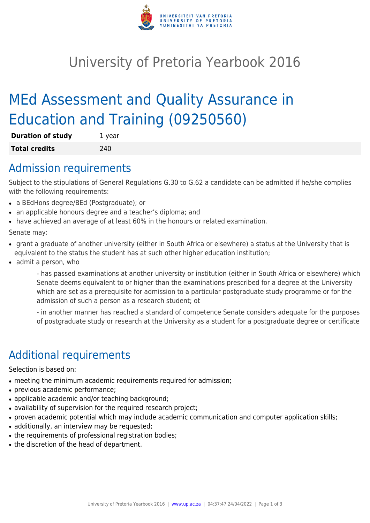

# University of Pretoria Yearbook 2016

# MEd Assessment and Quality Assurance in Education and Training (09250560)

| <b>Duration of study</b> | 1 year |
|--------------------------|--------|
| <b>Total credits</b>     | 240    |

#### Admission requirements

Subject to the stipulations of General Regulations G.30 to G.62 a candidate can be admitted if he/she complies with the following requirements:

- a BEdHons degree/BEd (Postgraduate); or
- an applicable honours degree and a teacher's diploma; and
- have achieved an average of at least 60% in the honours or related examination.

Senate may:

- grant a graduate of another university (either in South Africa or elsewhere) a status at the University that is equivalent to the status the student has at such other higher education institution;
- admit a person, who

- has passed examinations at another university or institution (either in South Africa or elsewhere) which Senate deems equivalent to or higher than the examinations prescribed for a degree at the University which are set as a prerequisite for admission to a particular postgraduate study programme or for the admission of such a person as a research student; ot

- in another manner has reached a standard of competence Senate considers adequate for the purposes of postgraduate study or research at the University as a student for a postgraduate degree or certificate

## Additional requirements

Selection is based on:

- meeting the minimum academic requirements required for admission;
- previous academic performance;
- applicable academic and/or teaching background;
- availability of supervision for the required research project;
- proven academic potential which may include academic communication and computer application skills;
- additionally, an interview may be requested;
- the requirements of professional registration bodies;
- the discretion of the head of department.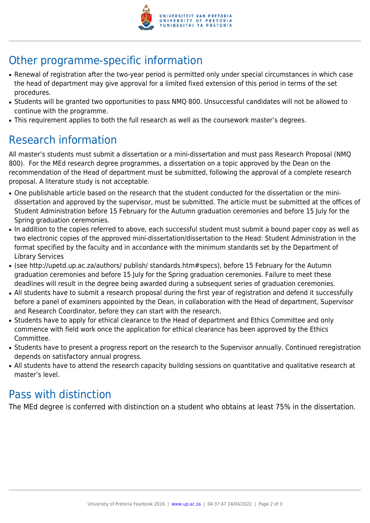

# Other programme-specific information

- Renewal of registration after the two-year period is permitted only under special circumstances in which case the head of department may give approval for a limited fixed extension of this period in terms of the set procedures.
- Students will be granted two opportunities to pass NMQ 800. Unsuccessful candidates will not be allowed to continue with the programme.
- This requirement applies to both the full research as well as the coursework master's degrees.

### Research information

All master's students must submit a dissertation or a mini-dissertation and must pass Research Proposal (NMQ 800). For the MEd research degree programmes, a dissertation on a topic approved by the Dean on the recommendation of the Head of department must be submitted, following the approval of a complete research proposal. A literature study is not acceptable.

- One publishable article based on the research that the student conducted for the dissertation or the minidissertation and approved by the supervisor, must be submitted. The article must be submitted at the offices of Student Administration before 15 February for the Autumn graduation ceremonies and before 15 July for the Spring graduation ceremonies.
- In addition to the copies referred to above, each successful student must submit a bound paper copy as well as two electronic copies of the approved mini-dissertation/dissertation to the Head: Student Administration in the format specified by the faculty and in accordance with the minimum standards set by the Department of Library Services
- (see http://upetd.up.ac.za/authors/ publish/ standards.htm#specs), before 15 February for the Autumn graduation ceremonies and before 15 July for the Spring graduation ceremonies. Failure to meet these deadlines will result in the degree being awarded during a subsequent series of graduation ceremonies.
- All students have to submit a research proposal during the first year of registration and defend it successfully before a panel of examiners appointed by the Dean, in collaboration with the Head of department, Supervisor and Research Coordinator, before they can start with the research.
- Students have to apply for ethical clearance to the Head of department and Ethics Committee and only commence with field work once the application for ethical clearance has been approved by the Ethics Committee.
- Students have to present a progress report on the research to the Supervisor annually. Continued reregistration depends on satisfactory annual progress.
- All students have to attend the research capacity building sessions on quantitative and qualitative research at master's level.

### Pass with distinction

The MEd degree is conferred with distinction on a student who obtains at least 75% in the dissertation.